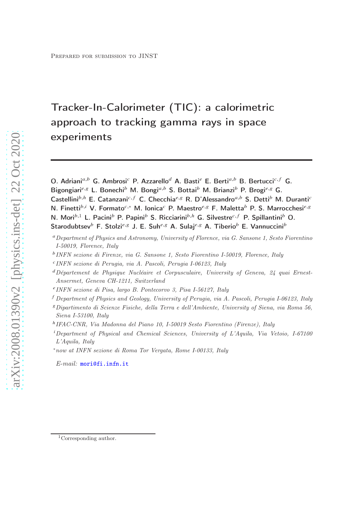# Tracker-In-Calorimeter (TIC): a calorimetric approach to tracking gamma rays in space experiments

O. Adriani $a,b$  G. Ambrosi<sup>c</sup> P. Azzarello<sup>d</sup> A. Basti<sup>e</sup> E. Berti $a,b$  B. Bertucci<sup>c, f</sup> G. Bigongiari<sup>e, g</sup> L. Bonechi<sup>b</sup> M. Bongi<sup>a,b</sup> S. Bottai<sup>b</sup> M. Brianzi<sup>b</sup> P. Brogi<sup>e, g</sup> G. Castellini $b,h$  E. Catanzani $c,f$  C. Checchia $e,g$  R. D'Alessandro $a,b$  S. Detti $b$  M. Durantic N. Finetti<sup>b,i</sup> V. Formato<sup>c,</sup>\* M. Ionica<sup>c</sup> P. Maestro<sup>e,g</sup> F. Maletta<sup>b</sup> P. S. Marrocchesi<sup>e,g</sup> N. Mori<sup>b,1</sup> L. Pacini<sup>b</sup> P. Papini<sup>b</sup> S. Ricciarini<sup>b,h</sup> G. Silvestre<sup>c,f</sup> P. Spillantini<sup>b</sup> O. Starodubtsev<sup>b</sup> F. Stolzi<sup>e, g</sup> J. E. Suhe,<sup>8</sup> A. Sulaje,8 A. Tiberio<sup>b</sup> E. Vannuccini<sup>b</sup>

- <sup>a</sup> Department of Physics and Astronomy, University of Florence, via G. Sansone 1, Sesto Fiorentino I-50019, Florence, Italy
- <sup>b</sup> INFN sezione di Firenze, via G. Sansone 1, Sesto Fiorentino I-50019, Florence, Italy
- <sup>c</sup>INFN sezione di Perugia, via A. Pascoli, Perugia I-06123, Italy
- $d$ Département de Physique Nucléaire et Corpusculaire, University of Geneva,  $24$  quai Ernest-Ansermet, Geneva CH-1211, Switzerland
- <sup>e</sup> INFN sezione di Pisa, largo B. Pontecorvo 3, Pisa I-56127, Italy
- $^f$  Department of Physics and Geology, University of Perugia, via A. Pascoli, Perugia I-06123, Italy
- <sup>𝑔</sup>Dipartimento di Scienze Fisiche, della Terra e dell'Ambiente, University of Siena, via Roma 56, Siena I-53100, Italy
- <sup>h</sup> IFAC-CNR, Via Madonna del Piano 10, I-50019 Sesto Fiorentino (Firenze), Italy
- $i$ Department of Physical and Chemical Sciences, University of L'Aquila, Via Vetoio, I-67100 L'Aquila, Italy

<sup>∗</sup>now at INFN sezione di Roma Tor Vergata, Rome I-00133, Italy

E-mail: [mori@fi.infn.it](mailto:mori@fi.infn.it)

<sup>&</sup>lt;sup>1</sup>Corresponding author.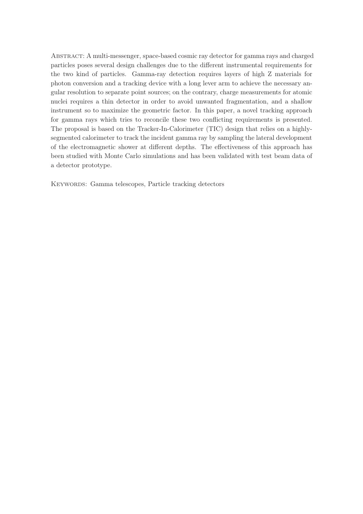Abstract: A multi-messenger, space-based cosmic ray detector for gamma rays and charged particles poses several design challenges due to the different instrumental requirements for the two kind of particles. Gamma-ray detection requires layers of high Z materials for photon conversion and a tracking device with a long lever arm to achieve the necessary angular resolution to separate point sources; on the contrary, charge measurements for atomic nuclei requires a thin detector in order to avoid unwanted fragmentation, and a shallow instrument so to maximize the geometric factor. In this paper, a novel tracking approach for gamma rays which tries to reconcile these two conflicting requirements is presented. The proposal is based on the Tracker-In-Calorimeter (TIC) design that relies on a highlysegmented calorimeter to track the incident gamma ray by sampling the lateral development of the electromagnetic shower at different depths. The effectiveness of this approach has been studied with Monte Carlo simulations and has been validated with test beam data of a detector prototype.

KEYWORDS: Gamma telescopes, Particle tracking detectors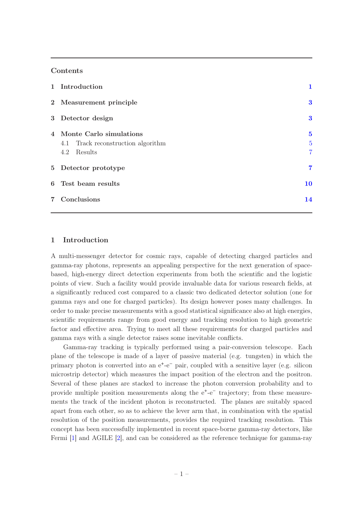## Contents

| 1 Introduction                                                                    |                                                  |  |
|-----------------------------------------------------------------------------------|--------------------------------------------------|--|
| 2 Measurement principle                                                           | $\bf{3}$                                         |  |
| 3 Detector design                                                                 | $\bf{3}$                                         |  |
| 4 Monte Carlo simulations<br>4.1 Track reconstruction algorithm<br>Results<br>4.2 | $\mathbf{5}$<br>$\overline{5}$<br>$\overline{7}$ |  |
| 5 Detector prototype                                                              | 7                                                |  |
| 6 Test beam results                                                               | 10                                               |  |
| 7 Conclusions                                                                     | 14                                               |  |

# <span id="page-2-0"></span>1 Introduction

A multi-messenger detector for cosmic rays, capable of detecting charged particles and gamma-ray photons, represents an appealing perspective for the next generation of spacebased, high-energy direct detection experiments from both the scientific and the logistic points of view. Such a facility would provide invaluable data for various research fields, at a significantly reduced cost compared to a classic two dedicated detector solution (one for gamma rays and one for charged particles). Its design however poses many challenges. In order to make precise measurements with a good statistical significance also at high energies, scientific requirements range from good energy and tracking resolution to high geometric factor and effective area. Trying to meet all these requirements for charged particles and gamma rays with a single detector raises some inevitable conflicts.

Gamma-ray tracking is typically performed using a pair-conversion telescope. Each plane of the telescope is made of a layer of passive material (e.g. tungsten) in which the primary photon is converted into an  $e^+$ - $e^-$  pair, coupled with a sensitive layer (e.g. silicon microstrip detector) which measures the impact position of the electron and the positron. Several of these planes are stacked to increase the photon conversion probability and to provide multiple position measurements along the e<sup>+</sup>-e<sup>−</sup> trajectory; from these measurements the track of the incident photon is reconstructed. The planes are suitably spaced apart from each other, so as to achieve the lever arm that, in combination with the spatial resolution of the position measurements, provides the required tracking resolution. This concept has been successfully implemented in recent space-borne gamma-ray detectors, like Fermi [\[1\]](#page-15-1) and AGILE [\[2](#page-15-2)], and can be considered as the reference technique for gamma-ray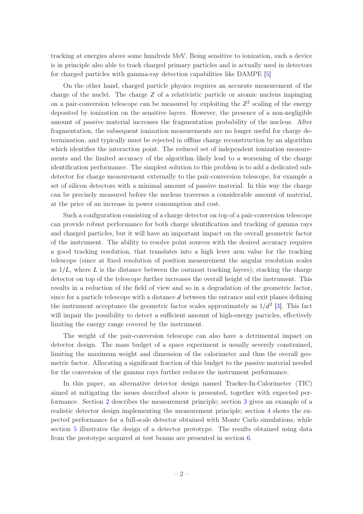tracking at energies above some hundreds MeV. Being sensitive to ionization, such a device is in principle also able to track charged primary particles and is actually used in detectors for charged particles with gamma-ray detection capabilities like DAMPE [\[5](#page-15-3)]

On the other hand, charged particle physics requires an accurate measurement of the charge of the nuclei. The charge  $Z$  of a relativistic particle or atomic nucleus impinging on a pair-conversion telescope can be measured by exploiting the  $Z^2$  scaling of the energy deposited by ionization on the sensitive layers. However, the presence of a non-negligible amount of passive material increases the fragmentation probability of the nucleus. After fragmentation, the subsequent ionization measurements are no longer useful for charge determination, and typically must be rejected in offline charge reconstruction by an algorithm which identifies the interaction point. The reduced set of independent ionization measurements and the limited accuracy of the algorithm likely lead to a worsening of the charge identification performance. The simplest solution to this problem is to add a dedicated subdetector for charge measurement externally to the pair-conversion telescope, for example a set of silicon detectors with a minimal amount of passive material. In this way the charge can be precisely measured before the nucleus traverses a considerable amount of material, at the price of an increase in power consumption and cost.

Such a configuration consisting of a charge detector on top of a pair-conversion telescope can provide robust performance for both charge identification and tracking of gamma rays and charged particles, but it will have an important impact on the overall geometric factor of the instrument. The ability to resolve point sources with the desired accuracy requires a good tracking resolution, that translates into a high lever arm value for the tracking telescope (since at fixed resolution of position measurement the angular resolution scales as  $1/L$ , where L is the distance between the outmost tracking layers); stacking the charge detector on top of the telescope further increases the overall height of the instrument. This results in a reduction of the field of view and so in a degradation of the geometric factor, since for a particle telescope with a distance  $d$  between the entrance and exit planes defining the instrument acceptance the geometric factor scales approximately as  $1/d^2$  [\[3\]](#page-15-4). This fact will impair the possibility to detect a sufficient amount of high-energy particles, effectively limiting the energy range covered by the instrument.

The weight of the pair-conversion telescope can also have a detrimental impact on detector design. The mass budget of a space experiment is usually severely constrained, limiting the maximum weight and dimension of the calorimeter and thus the overall geometric factor. Allocating a significant fraction of this budget to the passive material needed for the conversion of the gamma rays further reduces the instrument performance.

In this paper, an alternative detector design named Tracker-In-Calorimeter (TIC) aimed at mitigating the issues described above is presented, together with expected performance. Section [2](#page-4-0) describes the measurement principle; section [3](#page-4-1) gives an example of a realistic detector design implementing the measurement principle; section [4](#page-6-0) shows the expected performance for a full-scale detector obtained with Monte Carlo simulations, while section [5](#page-8-1) illustrates the design of a detector prototype. The results obtained using data from the prototype acquired at test beams are presented in section [6.](#page-11-0)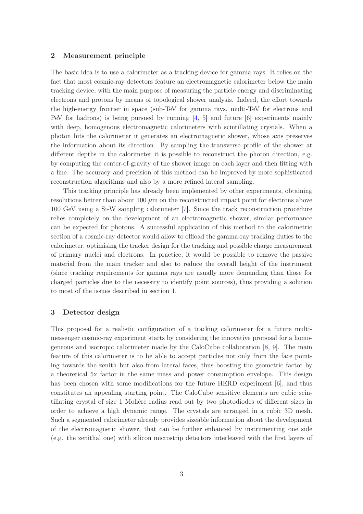## <span id="page-4-0"></span>2 Measurement principle

The basic idea is to use a calorimeter as a tracking device for gamma rays. It relies on the fact that most cosmic-ray detectors feature an electromagnetic calorimeter below the main tracking device, with the main purpose of measuring the particle energy and discriminating electrons and protons by means of topological shower analysis. Indeed, the effort towards the high-energy frontier in space (sub-TeV for gamma rays, multi-TeV for electrons and PeV for hadrons) is being pursued by running  $[4, 5]$  $[4, 5]$  $[4, 5]$  and future  $[6]$  experiments mainly with deep, homogenous electromagnetic calorimeters with scintillating crystals. When a photon hits the calorimeter it generates an electromagnetic shower, whose axis preserves the information about its direction. By sampling the transverse profile of the shower at different depths in the calorimeter it is possible to reconstruct the photon direction, e.g. by computing the center-of-gravity of the shower image on each layer and then fitting with a line. The accuracy and precision of this method can be improved by more sophisticated reconstruction algorithms and also by a more refined lateral sampling.

This tracking principle has already been implemented by other experiments, obtaining resolutions better than about 100  $\mu$ m on the reconstructed impact point for electrons above 100 GeV using a Si-W sampling calorimeter [\[7\]](#page-16-0). Since the track reconstruction procedure relies completely on the development of an electromagnetic shower, similar performance can be expected for photons. A successful application of this method to the calorimetric section of a cosmic-ray detector would allow to offload the gamma-ray tracking duties to the calorimeter, optimising the tracker design for the tracking and possible charge measurement of primary nuclei and electrons. In practice, it would be possible to remove the passive material from the main tracker and also to reduce the overall height of the instrument (since tracking requirements for gamma rays are usually more demanding than those for charged particles due to the necessity to identify point sources), thus providing a solution to most of the issues described in section [1.](#page-2-0)

## <span id="page-4-1"></span>3 Detector design

This proposal for a realistic configuration of a tracking calorimeter for a future multimessenger cosmic-ray experiment starts by considering the innovative proposal for a homogeneous and isotropic calorimeter made by the CaloCube collaboration [\[8](#page-16-1), [9](#page-16-2)]. The main feature of this calorimeter is to be able to accept particles not only from the face pointing towards the zenith but also from lateral faces, thus boosting the geometric factor by a theoretical 5x factor in the same mass and power consumption envelope. This design has been chosen with some modifications for the future HERD experiment [\[6](#page-15-6)], and thus constitutes an appealing starting point. The CaloCube sensitive elements are cubic scintillating crystal of size 1 Molière radius read out by two photodiodes of different sizes in order to achieve a high dynamic range. The crystals are arranged in a cubic 3D mesh. Such a segmented calorimeter already provides sizeable information about the development of the electromagnetic shower, that can be further enhanced by instrumenting one side (e.g. the zenithal one) with silicon microstrip detectors interleaved with the first layers of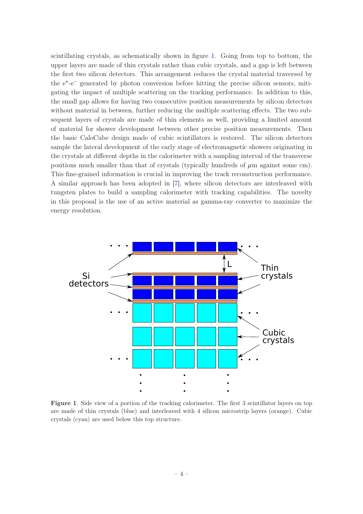scintillating crystals, as schematically shown in figure [1.](#page-5-0) Going from top to bottom, the upper layers are made of thin crystals rather than cubic crystals, and a gap is left between the first two silicon detectors. This arrangement reduces the crystal material traversed by the e<sup>+</sup> -e<sup>−</sup> generated by photon conversion before hitting the precise silicon sensors, mitigating the impact of multiple scattering on the tracking performance. In addition to this, the small gap allows for having two consecutive position measurements by silicon detectors without material in between, further reducing the multiple scattering effects. The two subsequent layers of crystals are made of thin elements as well, providing a limited amount of material for shower development between other precise position measurements. Then the basic CaloCube design made of cubic scintillators is restored. The silicon detectors sample the lateral development of the early stage of electromagnetic showers originating in the crystals at different depths in the calorimeter with a sampling interval of the transverse positions much smaller than that of crystals (typically hundreds of  $\mu$ m against some cm). This fine-grained information is crucial in improving the track reconstruction performance. A similar approach has been adopted in [\[7](#page-16-0)], where silicon detectors are interleaved with tungsten plates to build a sampling calorimeter with tracking capabilities. The novelty in this proposal is the use of an active material as gamma-ray converter to maximize the energy resolution.



<span id="page-5-0"></span>Figure 1. Side view of a portion of the tracking calorimeter. The first 3 scintillator layers on top are made of thin crystals (blue) and interleaved with 4 silicon microstrip layers (orange). Cubic crystals (cyan) are used below this top structure.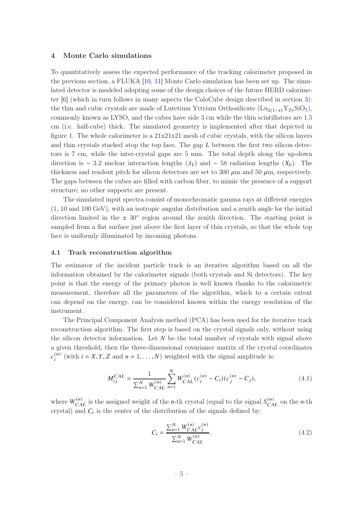#### <span id="page-6-0"></span>4 Monte Carlo simulations

To quantitatively assess the expected performance of the tracking calorimeter proposed in the previous section, a FLUKA  $[10, 11]$  $[10, 11]$  Monte Carlo simulation has been set up. The simulated detector is modeled adopting some of the design choices of the future HERD calorimeter [\[6](#page-15-6)] (which in turn follows in many aspects the CaloCube design described in section [3\)](#page-4-1): the thin and cubic crystals are made of Lutetium Yttrium Orthosilicate (Lu<sub>2(1-x)</sub>Y<sub>2x</sub>SiO<sub>5</sub>), commonly known as LYSO, and the cubes have side 3 cm while the thin scintillators are 1.5 cm (i.e. half-cube) thick. The simulated geometry is implemented after that depicted in figure [1.](#page-5-0) The whole calorimeter is a  $21x21x21$  mesh of cubic crystals, with the silicon layers and thin crystals stacked atop the top face. The gap  $L$  between the first two silicon detectors is 7 cm, while the inter-crystal gaps are 5 mm. The total depth along the up-down direction is ∼ 3.2 nuclear interaction lengths  $(\lambda_I)$  and ∼ 58 radiation lengths  $(X_0)$ . The thickness and readout pitch for silicon detectors are set to 300  $\mu$ m and 50  $\mu$ m, respectively. The gaps between the cubes are filled with carbon fiber, to mimic the presence of a support structure; no other supports are present.

The simulated input spectra consist of monochromatic gamma rays at different energies (1, 10 and 100 GeV), with an isotropic angular distribution and a zenith angle for the initial direction limited in the  $\pm 30^{\circ}$  region around the zenith direction. The starting point is sampled from a flat surface just above the first layer of thin crystals, so that the whole top face is uniformly illuminated by incoming photons.

#### <span id="page-6-1"></span>4.1 Track reconstruction algorithm

The estimator of the incident particle track is an iterative algorithm based on all the information obtained by the calorimeter signals (both crystals and Si detectors). The key point is that the energy of the primary photon is well known thanks to the calorimetric measurement, therefore all the parameters of the algorithm, which to a certain extent can depend on the energy, can be considered known within the energy resolution of the instrument.

The Principal Component Analysis method (PCA) has been used for the iterative track reconstruction algorithm. The first step is based on the crystal signals only, without using the silicon detector information. Let  $N$  be the total number of crystals with signal above a given threshold, then the three-dimensional covariance matrix of the crystal coordinates  $c_i^{(n)}$  $j_i^{(n)}$  (with  $i = X, Y, Z$  and  $n = 1, ..., N$ ) weighted with the signal amplitude is:

$$
M_{ij}^{CAL} = \frac{1}{\sum_{n=1}^{N} W_{CAL}^{(n)}} \sum_{n=1}^{N} W_{CAL}^{(n)} (c_i^{(n)} - C_i) (c_j^{(n)} - C_j), \qquad (4.1)
$$

where  $W_{CAL}^{(n)}$  is the assigned weight of the *n*-th crystal (equal to the signal  $S_{CAL}^{(n)}$  on the *n*-th crystal) and  $C_i$  is the center of the distribution of the signals defined by:

$$
C_i = \frac{\sum_{n=1}^{N} W_{CAL}^{(n)} c_i^{(n)}}{\sum_{n=1}^{N} W_{CAL}^{(n)}}.
$$
\n(4.2)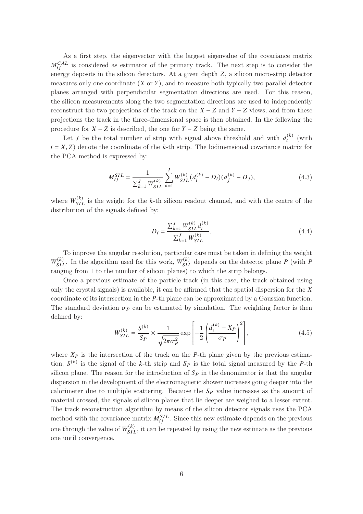As a first step, the eigenvector with the largest eigenvalue of the covariance matrix  $M_{ij}^{CAL}$  is considered as estimator of the primary track. The next step is to consider the energy deposits in the silicon detectors. At a given depth  $Z$ , a silicon micro-strip detector measures only one coordinate  $(X \text{ or } Y)$ , and to measure both typically two parallel detector planes arranged with perpendicular segmentation directions are used. For this reason, the silicon measurements along the two segmentation directions are used to independently reconstruct the two projections of the track on the  $X - Z$  and  $Y - Z$  views, and from these projections the track in the three-dimensional space is then obtained. In the following the procedure for  $X - Z$  is described, the one for  $Y - Z$  being the same.

Let *J* be the total number of strip with signal above threshold and with  $d_i^{(k)}$  $\binom{\kappa}{i}$  (with  $i = X, Z$ ) denote the coordinate of the k-th strip. The bidimensional covariance matrix for the PCA method is expressed by:

$$
M_{ij}^{SIL} = \frac{1}{\sum_{k=1}^{J} W_{SIL}^{(k)}} \sum_{k=1}^{J} W_{SIL}^{(k)} (d_i^{(k)} - D_i) (d_j^{(k)} - D_j),
$$
\n(4.3)

where  $W_{SIL}^{(k)}$  is the weight for the k-th silicon readout channel, and with the centre of the distribution of the signals defined by:

$$
D_{i} = \frac{\sum_{k=1}^{J} W_{SIL}^{(k)} d_{i}^{(k)}}{\sum_{k=1}^{J} W_{SIL}^{(k)}}.
$$
\n(4.4)

To improve the angular resolution, particular care must be taken in defining the weight  $W_{SIL}^{(k)}$ . In the algorithm used for this work,  $W_{SIL}^{(k)}$  depends on the detector plane P (with P ranging from 1 to the number of silicon planes) to which the strip belongs.

Once a previous estimate of the particle track (in this case, the track obtained using only the crystal signals) is available, it can be affirmed that the spatial dispersion for the  $\chi$ coordinate of its intersection in the  $P$ -th plane can be approximated by a Gaussian function. The standard deviation  $\sigma_{\mathcal{P}}$  can be estimated by simulation. The weighting factor is then defined by:

$$
W_{SIL}^{(k)} = \frac{S^{(k)}}{S_P} \times \frac{1}{\sqrt{2\pi\sigma_P^2}} \exp\left[-\frac{1}{2} \left(\frac{d_i^{(k)} - X_P}{\sigma_P}\right)^2\right],
$$
(4.5)

where  $X_P$  is the intersection of the track on the P-th plane given by the previous estimation,  $S^{(k)}$  is the signal of the k-th strip and  $S_P$  is the total signal measured by the P-th silicon plane. The reason for the introduction of  $S_P$  in the denominator is that the angular dispersion in the development of the electromagnetic shower increases going deeper into the calorimeter due to multiple scattering. Because the  $S_P$  value increases as the amount of material crossed, the signals of silicon planes that lie deeper are weighed to a lesser extent. The track reconstruction algorithm by means of the silicon detector signals uses the PCA method with the covariance matrix  $M_{ij}^{SIL}$ . Since this new estimate depends on the previous one through the value of  $W_{SIL}^{(k)}$ , it can be repeated by using the new estimate as the previous one until convergence.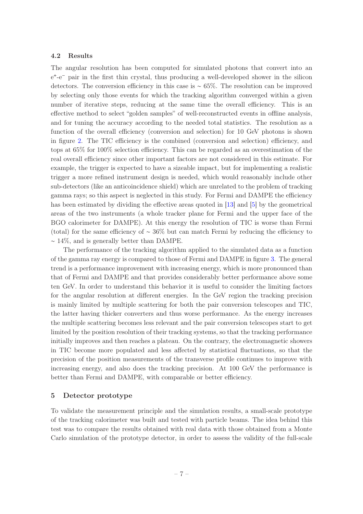## <span id="page-8-0"></span>4.2 Results

The angular resolution has been computed for simulated photons that convert into an e<sup>+</sup>-e<sup>-</sup> pair in the first thin crystal, thus producing a well-developed shower in the silicon detectors. The conversion efficiency in this case is ∼ 65%. The resolution can be improved by selecting only those events for which the tracking algorithm converged within a given number of iterative steps, reducing at the same time the overall efficiency. This is an effective method to select "golden samples" of well-reconstructed events in offline analysis, and for tuning the accuracy according to the needed total statistics. The resolution as a function of the overall efficiency (conversion and selection) for 10 GeV photons is shown in figure [2.](#page-9-0) The TIC efficiency is the combined (conversion and selection) efficiency, and tops at 65% for 100% selection efficiency. This can be regarded as an overestimation of the real overall efficiency since other important factors are not considered in this estimate. For example, the trigger is expected to have a sizeable impact, but for implementing a realistic trigger a more refined instrument design is needed, which would reasonably include other sub-detectors (like an anticoincidence shield) which are unrelated to the problem of tracking gamma rays; so this aspect is neglected in this study. For Fermi and DAMPE the efficiency has been estimated by dividing the effective areas quoted in [\[13\]](#page-16-5) and [\[5](#page-15-3)] by the geometrical areas of the two instruments (a whole tracker plane for Fermi and the upper face of the BGO calorimeter for DAMPE). At this energy the resolution of TIC is worse than Fermi (total) for the same efficiency of ∼ 36% but can match Fermi by reducing the efficiency to ∼ 14%, and is generally better than DAMPE.

The performance of the tracking algorithm applied to the simulated data as a function of the gamma ray energy is compared to those of Fermi and DAMPE in figure [3.](#page-10-0) The general trend is a performance improvement with increasing energy, which is more pronounced than that of Fermi and DAMPE and that provides considerably better performance above some ten GeV. In order to understand this behavior it is useful to consider the limiting factors for the angular resolution at different energies. In the GeV region the tracking precision is mainly limited by multiple scattering for both the pair conversion telescopes and TIC, the latter having thicker converters and thus worse performance. As the energy increases the multiple scattering becomes less relevant and the pair conversion telescopes start to get limited by the position resolution of their tracking systems, so that the tracking performance initially improves and then reaches a plateau. On the contrary, the electromagnetic showers in TIC become more populated and less affected by statistical fluctuations, so that the precision of the position measurements of the transverse profile continues to improve with increasing energy, and also does the tracking precision. At 100 GeV the performance is better than Fermi and DAMPE, with comparable or better efficiency.

#### <span id="page-8-1"></span>5 Detector prototype

To validate the measurement principle and the simulation results, a small-scale prototype of the tracking calorimeter was built and tested with particle beams. The idea behind this test was to compare the results obtained with real data with those obtained from a Monte Carlo simulation of the prototype detector, in order to assess the validity of the full-scale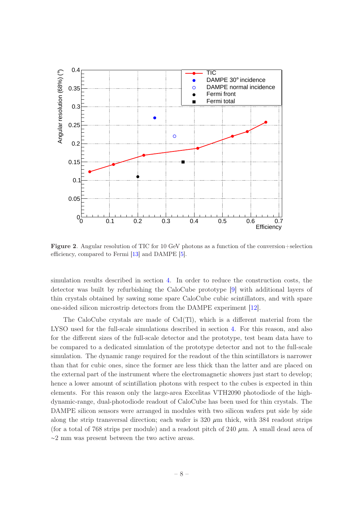

<span id="page-9-0"></span>Figure 2. Angular resolution of TIC for 10 GeV photons as a function of the conversion+selection efficiency, compared to Fermi [\[13\]](#page-16-5) and DAMPE [\[5\]](#page-15-3).

simulation results described in section [4.](#page-6-0) In order to reduce the construction costs, the detector was built by refurbishing the CaloCube prototype [\[9\]](#page-16-2) with additional layers of thin crystals obtained by sawing some spare CaloCube cubic scintillators, and with spare one-sided silicon microstrip detectors from the DAMPE experiment [\[12](#page-16-6)].

The CaloCube crystals are made of  $CsI(T)$ , which is a different material from the LYSO used for the full-scale simulations described in section [4.](#page-6-0) For this reason, and also for the different sizes of the full-scale detector and the prototype, test beam data have to be compared to a dedicated simulation of the prototype detector and not to the full-scale simulation. The dynamic range required for the readout of the thin scintillators is narrower than that for cubic ones, since the former are less thick than the latter and are placed on the external part of the instrument where the electromagnetic showers just start to develop; hence a lower amount of scintillation photons with respect to the cubes is expected in thin elements. For this reason only the large-area Excelitas VTH2090 photodiode of the highdynamic-range, dual-photodiode readout of CaloCube has been used for thin crystals. The DAMPE silicon sensors were arranged in modules with two silicon wafers put side by side along the strip transversal direction; each wafer is  $320 \ \mu m$  thick, with 384 readout strips (for a total of 768 strips per module) and a readout pitch of 240  $\mu$ m. A small dead area of ∼2 mm was present between the two active areas.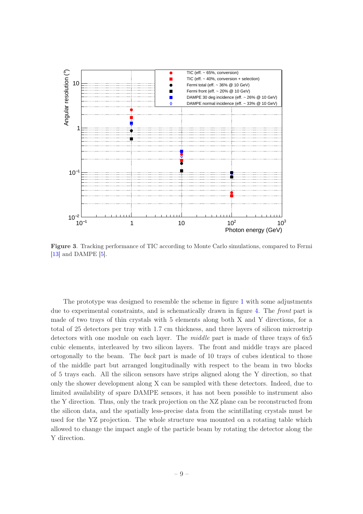

<span id="page-10-0"></span>Figure 3. Tracking performance of TIC according to Monte Carlo simulations, compared to Fermi [\[13](#page-16-5)] and DAMPE [\[5](#page-15-3)].

The prototype was designed to resemble the scheme in figure [1](#page-5-0) with some adjustments due to experimental constraints, and is schematically drawn in figure [4.](#page-11-1) The front part is made of two trays of thin crystals with 5 elements along both X and Y directions, for a total of 25 detectors per tray with 1.7 cm thickness, and three layers of silicon microstrip detectors with one module on each layer. The *middle* part is made of three trays of 6x5 cubic elements, interleaved by two silicon layers. The front and middle trays are placed ortogonally to the beam. The back part is made of 10 trays of cubes identical to those of the middle part but arranged longitudinally with respect to the beam in two blocks of 5 trays each. All the silicon sensors have strips aligned along the Y direction, so that only the shower development along X can be sampled with these detectors. Indeed, due to limited availability of spare DAMPE sensors, it has not been possible to instrument also the Y direction. Thus, only the track projection on the XZ plane can be reconstructed from the silicon data, and the spatially less-precise data from the scintillating crystals must be used for the YZ projection. The whole structure was mounted on a rotating table which allowed to change the impact angle of the particle beam by rotating the detector along the Y direction.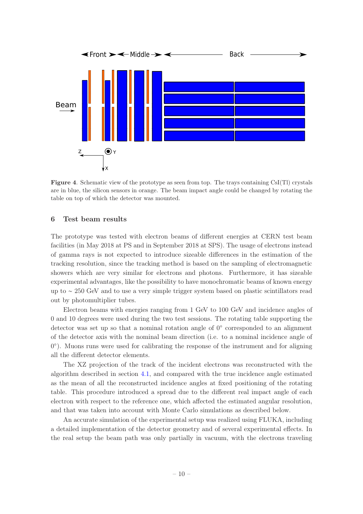

<span id="page-11-1"></span>Figure 4. Schematic view of the prototype as seen from top. The trays containing CsI(Tl) crystals are in blue, the silicon sensors in orange. The beam impact angle could be changed by rotating the table on top of which the detector was mounted.

#### <span id="page-11-0"></span>6 Test beam results

The prototype was tested with electron beams of different energies at CERN test beam facilities (in May 2018 at PS and in September 2018 at SPS). The usage of electrons instead of gamma rays is not expected to introduce sizeable differences in the estimation of the tracking resolution, since the tracking method is based on the sampling of electromagnetic showers which are very similar for electrons and photons. Furthermore, it has sizeable experimental advantages, like the possibility to have monochromatic beams of known energy up to ∼ 250 GeV and to use a very simple trigger system based on plastic scintillators read out by photomultiplier tubes.

Electron beams with energies ranging from 1 GeV to 100 GeV and incidence angles of 0 and 10 degrees were used during the two test sessions. The rotating table supporting the detector was set up so that a nominal rotation angle of 0◦ corresponded to an alignment of the detector axis with the nominal beam direction (i.e. to a nominal incidence angle of 0°). Muons runs were used for calibrating the response of the instrument and for aligning all the different detector elements.

The XZ projection of the track of the incident electrons was reconstructed with the algorithm described in section [4.1,](#page-6-1) and compared with the true incidence angle estimated as the mean of all the reconstructed incidence angles at fixed positioning of the rotating table. This procedure introduced a spread due to the different real impact angle of each electron with respect to the reference one, which affected the estimated angular resolution, and that was taken into account with Monte Carlo simulations as described below.

An accurate simulation of the experimental setup was realized using FLUKA, including a detailed implementation of the detector geometry and of several experimental effects. In the real setup the beam path was only partially in vacuum, with the electrons traveling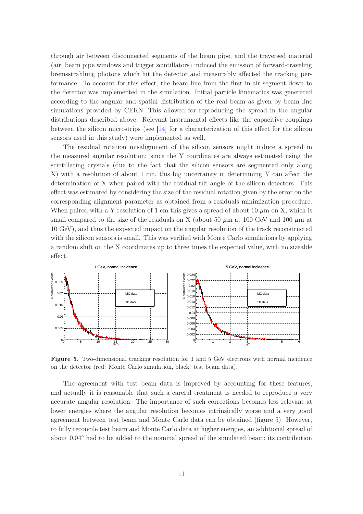through air between disconnected segments of the beam pipe, and the traversed material (air, beam pipe windows and trigger scintillators) induced the emission of forward-traveling bremsstrahlung photons which hit the detector and measurably affected the tracking performance. To account for this effect, the beam line from the first in-air segment down to the detector was implemented in the simulation. Initial particle kinematics was generated according to the angular and spatial distribution of the real beam as given by beam line simulations provided by CERN. This allowed for reproducing the spread in the angular distributions described above. Relevant instrumental effects like the capacitive couplings between the silicon microstrips (see [\[14](#page-16-7)] for a characterization of this effect for the silicon sensors used in this study) were implemented as well.

The residual rotation misalignment of the silicon sensors might induce a spread in the measured angular resolution: since the Y coordinates are always estimated using the scintillating crystals (due to the fact that the silicon sensors are segmented only along X) with a resolution of about 1 cm, this big uncertainty in determining Y can affect the determination of X when paired with the residual tilt angle of the silicon detectors. This effect was estimated by considering the size of the residual rotation given by the error on the corresponding alignment parameter as obtained from a residuals minimization procedure. When paired with a Y resolution of 1 cm this gives a spread of about 10  $\mu$ m on X, which is small compared to the size of the residuals on X (about 50  $\mu$ m at 100 GeV and 100  $\mu$ m at 10 GeV), and thus the expected impact on the angular resolution of the track reconstructed with the silicon sensors is small. This was verified with Monte Carlo simulations by applying a random shift on the X coordinates up to three times the expected value, with no sizeable effect.



<span id="page-12-0"></span>Figure 5. Two-dimensional tracking resolution for 1 and 5 GeV electrons with normal incidence on the detector (red: Monte Carlo simulation, black: test beam data).

The agreement with test beam data is improved by accounting for these features, and actually it is reasonable that such a careful treatment is needed to reproduce a very accurate angular resolution. The importance of such corrections becomes less relevant at lower energies where the angular resolution becomes intrinsically worse and a very good agreement between test beam and Monte Carlo data can be obtained (figure [5\)](#page-12-0). However, to fully reconcile test beam and Monte Carlo data at higher energies, an additional spread of about 0.04◦ had to be added to the nominal spread of the simulated beam; its contribution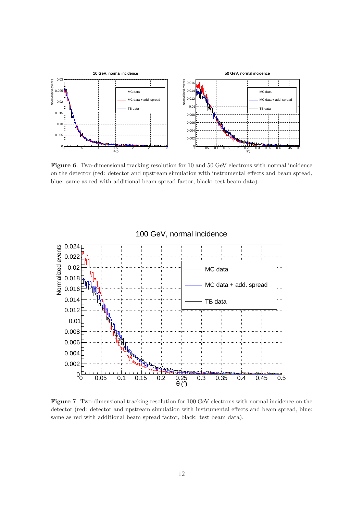

<span id="page-13-0"></span>Figure 6. Two-dimensional tracking resolution for 10 and 50 GeV electrons with normal incidence on the detector (red: detector and upstream simulation with instrumental effects and beam spread, blue: same as red with additional beam spread factor, black: test beam data).



# 100 GeV, normal incidence

<span id="page-13-1"></span>Figure 7. Two-dimensional tracking resolution for 100 GeV electrons with normal incidence on the detector (red: detector and upstream simulation with instrumental effects and beam spread, blue: same as red with additional beam spread factor, black: test beam data).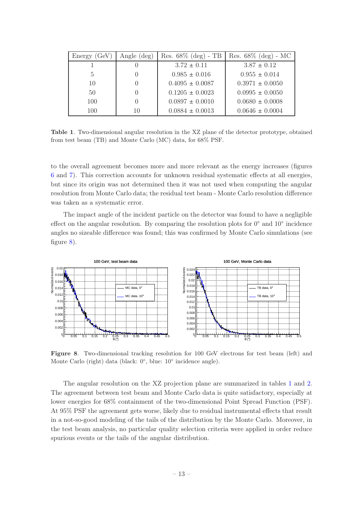| Energy(GeV)    | Angle $(\text{deg})$ | Res. $68\%$ (deg) - TB | Res. $68\%$ (deg) - MC |
|----------------|----------------------|------------------------|------------------------|
|                |                      | $3.72 \pm 0.11$        | $3.87 \pm 0.12$        |
| $\overline{5}$ | $\cup$               | $0.985 \pm 0.016$      | $0.955 \pm 0.014$      |
| 10             | $\left( \right)$     | $0.4095 \pm 0.0087$    | $0.3971 \pm 0.0050$    |
| 50             | $\Omega$             | $0.1205 \pm 0.0023$    | $0.0995 \pm 0.0050$    |
| 100            | $\left( \right)$     | $0.0897 \pm 0.0010$    | $0.0680 \pm 0.0008$    |
| 100            | 10                   | $0.0884 \pm 0.0013$    | $0.0646 \pm 0.0004$    |

<span id="page-14-1"></span>Table 1. Two-dimensional angular resolution in the XZ plane of the detector prototype, obtained from test beam (TB) and Monte Carlo (MC) data, for 68% PSF.

to the overall agreement becomes more and more relevant as the energy increases (figures [6](#page-13-0) and [7\)](#page-13-1). This correction accounts for unknown residual systematic effects at all energies, but since its origin was not determined then it was not used when computing the angular resolution from Monte Carlo data; the residual test beam - Monte Carlo resolution difference was taken as a systematic error.

The impact angle of the incident particle on the detector was found to have a negligible effect on the angular resolution. By comparing the resolution plots for 0<sup>°</sup> and 10<sup>°</sup> incidence angles no sizeable difference was found; this was confirmed by Monte Carlo simulations (see figure [8\)](#page-14-0).



<span id="page-14-0"></span>Figure 8. Two-dimensional tracking resolution for 100 GeV electrons for test beam (left) and Monte Carlo (right) data (black: 0°, blue: 10° incidence angle).

The angular resolution on the XZ projection plane are summarized in tables [1](#page-14-1) and [2.](#page-15-7) The agreement between test beam and Monte Carlo data is quite satisfactory, especially at lower energies for 68% containment of the two-dimensional Point Spread Function (PSF). At 95% PSF the agreement gets worse, likely due to residual instrumental effects that result in a not-so-good modeling of the tails of the distribution by the Monte Carlo. Moreover, in the test beam analysis, no particular quality selection criteria were applied in order reduce spurious events or the tails of the angular distribution.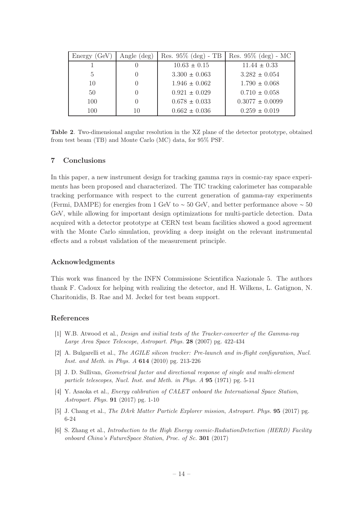| Energy(GeV) | Angle $(\text{deg})$ | Res. $95\%$ (deg) - TB | Res. $95\%$ (deg) - MC |
|-------------|----------------------|------------------------|------------------------|
|             |                      | $10.63 \pm 0.15$       | $11.44 \pm 0.33$       |
| 5           | 0                    | $3.300 \pm 0.063$      | $3.282 \pm 0.054$      |
| 10          | $\left( \right)$     | $1.946 \pm 0.062$      | $1.790 \pm 0.068$      |
| 50          | $\left( \right)$     | $0.921 \pm 0.029$      | $0.710 \pm 0.058$      |
| 100         | $\left( \right)$     | $0.678 \pm 0.033$      | $0.3077 \pm 0.0099$    |
| 100         | 10                   | $0.662 \pm 0.036$      | $0.259 \pm 0.019$      |

<span id="page-15-7"></span>Table 2. Two-dimensional angular resolution in the XZ plane of the detector prototype, obtained from test beam (TB) and Monte Carlo (MC) data, for 95% PSF.

## <span id="page-15-0"></span>7 Conclusions

In this paper, a new instrument design for tracking gamma rays in cosmic-ray space experiments has been proposed and characterized. The TIC tracking calorimeter has comparable tracking performance with respect to the current generation of gamma-ray experiments (Fermi, DAMPE) for energies from 1 GeV to  $\sim$  50 GeV, and better performance above  $\sim$  50 GeV, while allowing for important design optimizations for multi-particle detection. Data acquired with a detector prototype at CERN test beam facilities showed a good agreement with the Monte Carlo simulation, providing a deep insight on the relevant instrumental effects and a robust validation of the measurement principle.

## Acknowledgments

This work was financed by the INFN Commissione Scientifica Nazionale 5. The authors thank F. Cadoux for helping with realizing the detector, and H. Wilkens, L. Gatignon, N. Charitonidis, B. Rae and M. Jeckel for test beam support.

## References

- <span id="page-15-1"></span>[1] W.B. Atwood et al., Design and initial tests of the Tracker-converter of the Gamma-ray Large Area Space Telescope, Astropart. Phys. 28 (2007) pg. 422-434
- <span id="page-15-2"></span>[2] A. Bulgarelli et al., The AGILE silicon tracker: Pre-launch and in-flight configuration, Nucl. Inst. and Meth. in Phys. A 614 (2010) pg. 213-226
- <span id="page-15-4"></span>[3] J. D. Sullivan, Geometrical factor and directional response of single and multi-element particle telescopes, Nucl. Inst. and Meth. in Phys. A 95 (1971) pg. 5-11
- <span id="page-15-5"></span>[4] Y. Asaoka et al., Energy calibration of CALET onboard the International Space Station, Astropart. Phys. 91 (2017) pg. 1-10
- <span id="page-15-3"></span>[5] J. Chang et al., The DArk Matter Particle Explorer mission, Astropart. Phys. 95 (2017) pg. 6-24
- <span id="page-15-6"></span>[6] S. Zhang et al., Introduction to the High Energy cosmic-RadiationDetection (HERD) Facility onboard China's FutureSpace Station, Proc. of Sc. 301 (2017)